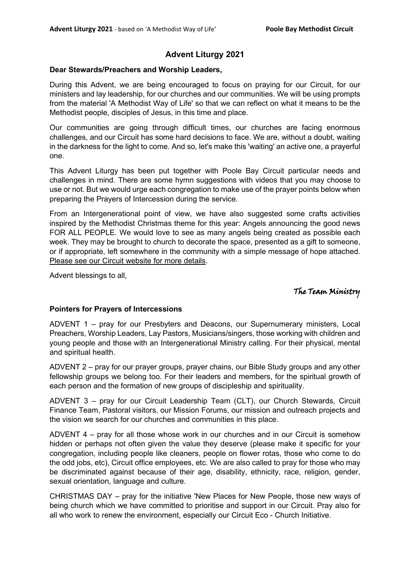## **Advent Liturgy 2021**

#### **Dear Stewards/Preachers and Worship Leaders,**

During this Advent, we are being encouraged to focus on praying for our Circuit, for our ministers and lay leadership, for our churches and our communities. We will be using prompts from the material 'A Methodist Way of Life' so that we can reflect on what it means to be the Methodist people, disciples of Jesus, in this time and place.

Our communities are going through difficult times, our churches are facing enormous challenges, and our Circuit has some hard decisions to face. We are, without a doubt, waiting in the darkness for the light to come. And so, let's make this 'waiting' an active one, a prayerful one.

This Advent Liturgy has been put together with Poole Bay Circuit particular needs and challenges in mind. There are some hymn suggestions with videos that you may choose to use or not. But we would urge each congregation to make use of the prayer points below when preparing the Prayers of Intercession during the service.

From an Intergenerational point of view, we have also suggested some crafts activities inspired by the Methodist Christmas theme for this year: Angels announcing the good news FOR ALL PEOPLE. We would love to see as many angels being created as possible each week. They may be brought to church to decorate the space, presented as a gift to someone, or if appropriate, left somewhere in the community with a simple message of hope attached. Please see our Circuit website for more details.

Advent blessings to all,

The Team Ministry

#### **Pointers for Prayers of Intercessions**

ADVENT 1 – pray for our Presbyters and Deacons, our Supernumerary ministers, Local Preachers, Worship Leaders, Lay Pastors, Musicians/singers, those working with children and young people and those with an Intergenerational Ministry calling. For their physical, mental and spiritual health.

ADVENT 2 – pray for our prayer groups, prayer chains, our Bible Study groups and any other fellowship groups we belong too. For their leaders and members, for the spiritual growth of each person and the formation of new groups of discipleship and spirituality.

ADVENT 3 – pray for our Circuit Leadership Team (CLT), our Church Stewards, Circuit Finance Team, Pastoral visitors, our Mission Forums, our mission and outreach projects and the vision we search for our churches and communities in this place.

ADVENT 4 – pray for all those whose work in our churches and in our Circuit is somehow hidden or perhaps not often given the value they deserve (please make it specific for your congregation, including people like cleaners, people on flower rotas, those who come to do the odd jobs, etc), Circuit office employees, etc. We are also called to pray for those who may be discriminated against because of their age, disability, ethnicity, race, religion, gender, sexual orientation, language and culture.

CHRISTMAS DAY – pray for the initiative 'New Places for New People, those new ways of being church which we have committed to prioritise and support in our Circuit. Pray also for all who work to renew the environment, especially our Circuit Eco - Church Initiative.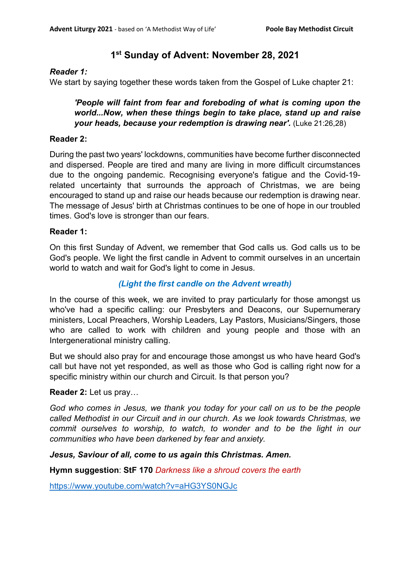## **1st Sunday of Advent: November 28, 2021**

#### *Reader 1:*

We start by saying together these words taken from the Gospel of Luke chapter 21:

*'People will faint from fear and foreboding of what is coming upon the world...Now, when these things begin to take place, stand up and raise your heads, because your redemption is drawing near'.* (Luke 21:26,28)

#### **Reader 2:**

During the past two years' lockdowns, communities have become further disconnected and dispersed. People are tired and many are living in more difficult circumstances due to the ongoing pandemic. Recognising everyone's fatigue and the Covid-19 related uncertainty that surrounds the approach of Christmas, we are being encouraged to stand up and raise our heads because our redemption is drawing near. The message of Jesus' birth at Christmas continues to be one of hope in our troubled times. God's love is stronger than our fears.

#### **Reader 1:**

On this first Sunday of Advent, we remember that God calls us. God calls us to be God's people. We light the first candle in Advent to commit ourselves in an uncertain world to watch and wait for God's light to come in Jesus.

## *(Light the first candle on the Advent wreath)*

In the course of this week, we are invited to pray particularly for those amongst us who've had a specific calling: our Presbyters and Deacons, our Supernumerary ministers, Local Preachers, Worship Leaders, Lay Pastors, Musicians/Singers, those who are called to work with children and young people and those with an Intergenerational ministry calling.

But we should also pray for and encourage those amongst us who have heard God's call but have not yet responded, as well as those who God is calling right now for a specific ministry within our church and Circuit. Is that person you?

#### **Reader 2:** Let us pray…

*God who comes in Jesus, we thank you today for your call on us to be the people called Methodist in our Circuit and in our church. As we look towards Christmas, we commit ourselves to worship, to watch, to wonder and to be the light in our communities who have been darkened by fear and anxiety.*

#### *Jesus, Saviour of all, come to us again this Christmas. Amen.*

**Hymn suggestion**: **StF 170** *Darkness like a shroud covers the earth*

<https://www.youtube.com/watch?v=aHG3YS0NGJc>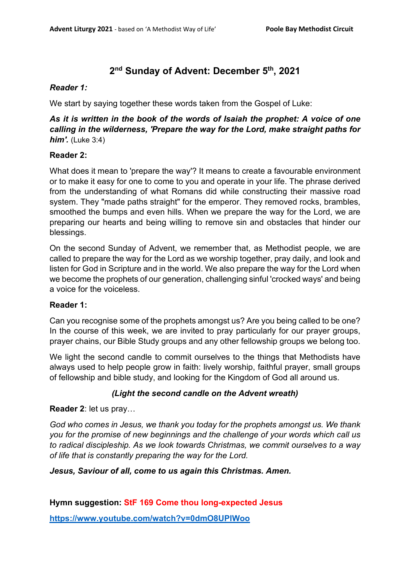# **2nd Sunday of Advent: December 5th, 2021**

## *Reader 1:*

We start by saying together these words taken from the Gospel of Luke:

## *As it is written in the book of the words of Isaiah the prophet: A voice of one calling in the wilderness, 'Prepare the way for the Lord, make straight paths for him'.* (Luke 3:4)

## **Reader 2:**

What does it mean to 'prepare the way'? It means to create a favourable environment or to make it easy for one to come to you and operate in your life. The phrase derived from the understanding of what Romans did while constructing their massive road system. They "made paths straight" for the emperor. They removed rocks, brambles, smoothed the bumps and even hills. When we prepare the way for the Lord, we are preparing our hearts and being willing to remove sin and obstacles that hinder our blessings.

On the second Sunday of Advent, we remember that, as Methodist people, we are called to prepare the way for the Lord as we worship together, pray daily, and look and listen for God in Scripture and in the world. We also prepare the way for the Lord when we become the prophets of our generation, challenging sinful 'crocked ways' and being a voice for the voiceless.

## **Reader 1:**

Can you recognise some of the prophets amongst us? Are you being called to be one? In the course of this week, we are invited to pray particularly for our prayer groups, prayer chains, our Bible Study groups and any other fellowship groups we belong too.

We light the second candle to commit ourselves to the things that Methodists have always used to help people grow in faith: lively worship, faithful prayer, small groups of fellowship and bible study, and looking for the Kingdom of God all around us.

## *(Light the second candle on the Advent wreath)*

## **Reader 2**: let us pray…

*God who comes in Jesus, we thank you today for the prophets amongst us. We thank you for the promise of new beginnings and the challenge of your words which call us to radical discipleship. As we look towards Christmas, we commit ourselves to a way of life that is constantly preparing the way for the Lord.*

*Jesus, Saviour of all, come to us again this Christmas. Amen.*

**Hymn suggestion: StF 169 Come thou long-expected Jesus**

**<https://www.youtube.com/watch?v=0dmO8UPlWoo>**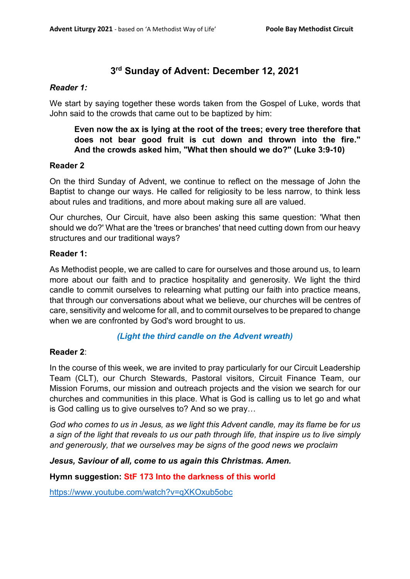# **3rd Sunday of Advent: December 12, 2021**

## *Reader 1:*

We start by saying together these words taken from the Gospel of Luke, words that John said to the crowds that came out to be baptized by him:

## **Even now the ax is lying at the root of the trees; every tree therefore that does not bear good fruit is cut down and thrown into the fire." And the crowds asked him, "What then should we do?" (Luke 3:9-10)**

## **Reader 2**

On the third Sunday of Advent, we continue to reflect on the message of John the Baptist to change our ways. He called for religiosity to be less narrow, to think less about rules and traditions, and more about making sure all are valued.

Our churches, Our Circuit, have also been asking this same question: 'What then should we do?' What are the 'trees or branches' that need cutting down from our heavy structures and our traditional ways?

#### **Reader 1:**

As Methodist people, we are called to care for ourselves and those around us, to learn more about our faith and to practice hospitality and generosity. We light the third candle to commit ourselves to relearning what putting our faith into practice means, that through our conversations about what we believe, our churches will be centres of care, sensitivity and welcome for all, and to commit ourselves to be prepared to change when we are confronted by God's word brought to us.

## *(Light the third candle on the Advent wreath)*

## **Reader 2**:

In the course of this week, we are invited to pray particularly for our Circuit Leadership Team (CLT), our Church Stewards, Pastoral visitors, Circuit Finance Team, our Mission Forums, our mission and outreach projects and the vision we search for our churches and communities in this place. What is God is calling us to let go and what is God calling us to give ourselves to? And so we pray…

*God who comes to us in Jesus, as we light this Advent candle, may its flame be for us a sign of the light that reveals to us our path through life, that inspire us to live simply and generously, that we ourselves may be signs of the good news we proclaim*

*Jesus, Saviour of all, come to us again this Christmas. Amen.*

**Hymn suggestion: StF 173 Into the darkness of this world** 

<https://www.youtube.com/watch?v=qXKOxub5obc>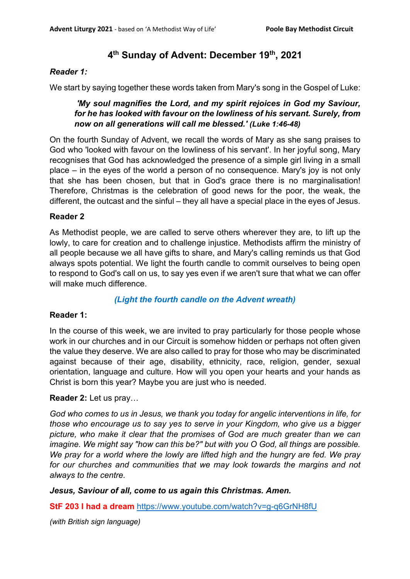## **4th Sunday of Advent: December 19th, 2021**

### *Reader 1:*

We start by saying together these words taken from Mary's song in the Gospel of Luke:

## *'My soul magnifies the Lord, and my spirit rejoices in God my Saviour, for he has looked with favour on the lowliness of his servant. Surely, from now on all generations will call me blessed.' (Luke 1:46-48)*

On the fourth Sunday of Advent, we recall the words of Mary as she sang praises to God who 'looked with favour on the lowliness of his servant'. In her joyful song, Mary recognises that God has acknowledged the presence of a simple girl living in a small place – in the eyes of the world a person of no consequence. Mary's joy is not only that she has been chosen, but that in God's grace there is no marginalisation! Therefore, Christmas is the celebration of good news for the poor, the weak, the different, the outcast and the sinful – they all have a special place in the eyes of Jesus.

## **Reader 2**

As Methodist people, we are called to serve others wherever they are, to lift up the lowly, to care for creation and to challenge injustice. Methodists affirm the ministry of all people because we all have gifts to share, and Mary's calling reminds us that God always spots potential. We light the fourth candle to commit ourselves to being open to respond to God's call on us, to say yes even if we aren't sure that what we can offer will make much difference.

## *(Light the fourth candle on the Advent wreath)*

#### **Reader 1:**

In the course of this week, we are invited to pray particularly for those people whose work in our churches and in our Circuit is somehow hidden or perhaps not often given the value they deserve. We are also called to pray for those who may be discriminated against because of their age, disability, ethnicity, race, religion, gender, sexual orientation, language and culture. How will you open your hearts and your hands as Christ is born this year? Maybe you are just who is needed.

#### **Reader 2:** Let us pray…

*God who comes to us in Jesus, we thank you today for angelic interventions in life, for those who encourage us to say yes to serve in your Kingdom, who give us a bigger picture, who make it clear that the promises of God are much greater than we can imagine. We might say "how can this be?" but with you O God, all things are possible. We pray for a world where the lowly are lifted high and the hungry are fed. We pray for our churches and communities that we may look towards the margins and not always to the centre.* 

*Jesus, Saviour of all, come to us again this Christmas. Amen.*

**StF 203 I had a dream** <https://www.youtube.com/watch?v=g-q6GrNH8fU>

*(with British sign language)*